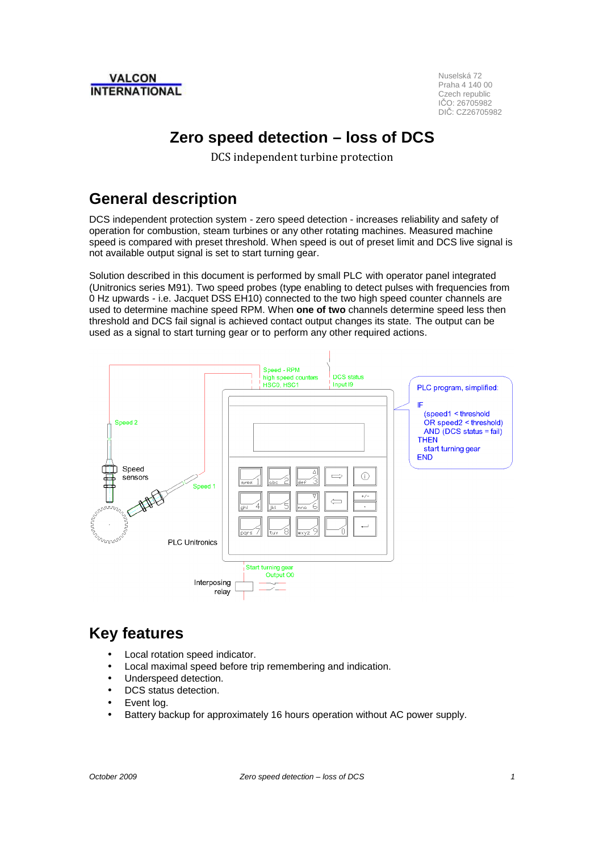

Praha 4 140 00 Czech republic IČO: 26705982 DIČ: CZ26705982

# **Zero speed detection – loss of DCS**

DCS independent turbine protection

#### **General description**

DCS independent protection system - zero speed detection - increases reliability and safety of operation for combustion, steam turbines or any other rotating machines. Measured machine speed is compared with preset threshold. When speed is out of preset limit and DCS live signal is not available output signal is set to start turning gear.

Solution described in this document is performed by small PLC with operator panel integrated (Unitronics series M91). Two speed probes (type enabling to detect pulses with frequencies from 0 Hz upwards - i.e. Jacquet DSS EH10) connected to the two high speed counter channels are used to determine machine speed RPM. When **one of two** channels determine speed less then threshold and DCS fail signal is achieved contact output changes its state. The output can be used as a signal to start turning gear or to perform any other required actions.



## **Key features**

- Local rotation speed indicator.
- Local maximal speed before trip remembering and indication.
- Underspeed detection.
- DCS status detection.
- Event log.
- Battery backup for approximately 16 hours operation without AC power supply.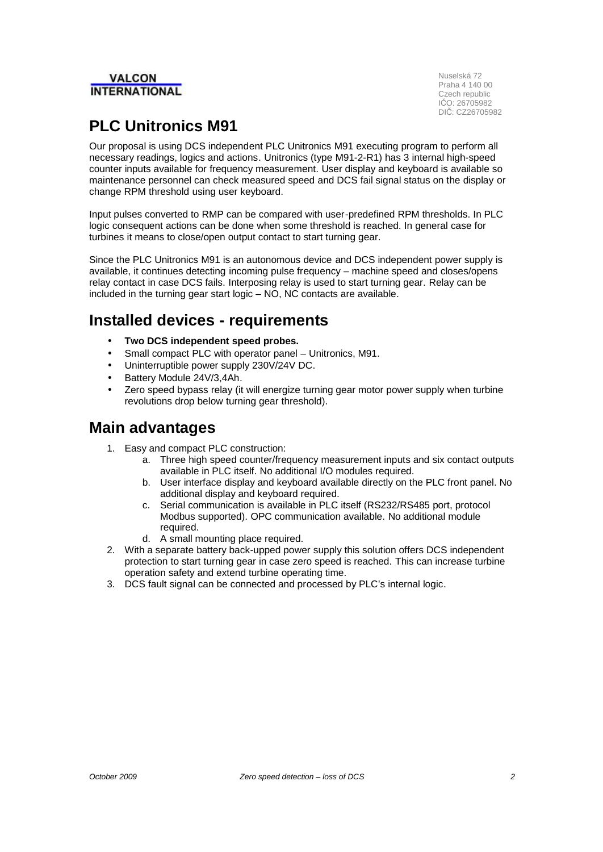# **INTERNATIONAL**

**IN** Nuselská 72 Praha 4 140 00 Czech republic IČO: 26705982 DIČ: CZ26705982

# **PLC Unitronics M91**

Our proposal is using DCS independent PLC Unitronics M91 executing program to perform all necessary readings, logics and actions. Unitronics (type M91-2-R1) has 3 internal high-speed counter inputs available for frequency measurement. User display and keyboard is available so maintenance personnel can check measured speed and DCS fail signal status on the display or change RPM threshold using user keyboard.

Input pulses converted to RMP can be compared with user-predefined RPM thresholds. In PLC logic consequent actions can be done when some threshold is reached. In general case for turbines it means to close/open output contact to start turning gear.

Since the PLC Unitronics M91 is an autonomous device and DCS independent power supply is available, it continues detecting incoming pulse frequency – machine speed and closes/opens relay contact in case DCS fails. Interposing relay is used to start turning gear. Relay can be included in the turning gear start logic  $-$  NO, NC contacts are available.

### **Installed devices - requirements**

- **Two DCS independent speed probes.**
- Small compact PLC with operator panel Unitronics, M91.
- Uninterruptible power supply 230V/24V DC.
- Battery Module 24V/3,4Ah.
- Zero speed bypass relay (it will energize turning gear motor power supply when turbine revolutions drop below turning gear threshold).

#### **Main advantages**

- 1. Easy and compact PLC construction:
	- a. Three high speed counter/frequency measurement inputs and six contact outputs available in PLC itself. No additional I/O modules required.
	- b. User interface display and keyboard available directly on the PLC front panel. No additional display and keyboard required.
	- c. Serial communication is available in PLC itself (RS232/RS485 port, protocol Modbus supported). OPC communication available. No additional module required.
	- d. A small mounting place required.
- 2. With a separate battery back-upped power supply this solution offers DCS independent protection to start turning gear in case zero speed is reached. This can increase turbine operation safety and extend turbine operating time.
- 3. DCS fault signal can be connected and processed by PLC's internal logic.